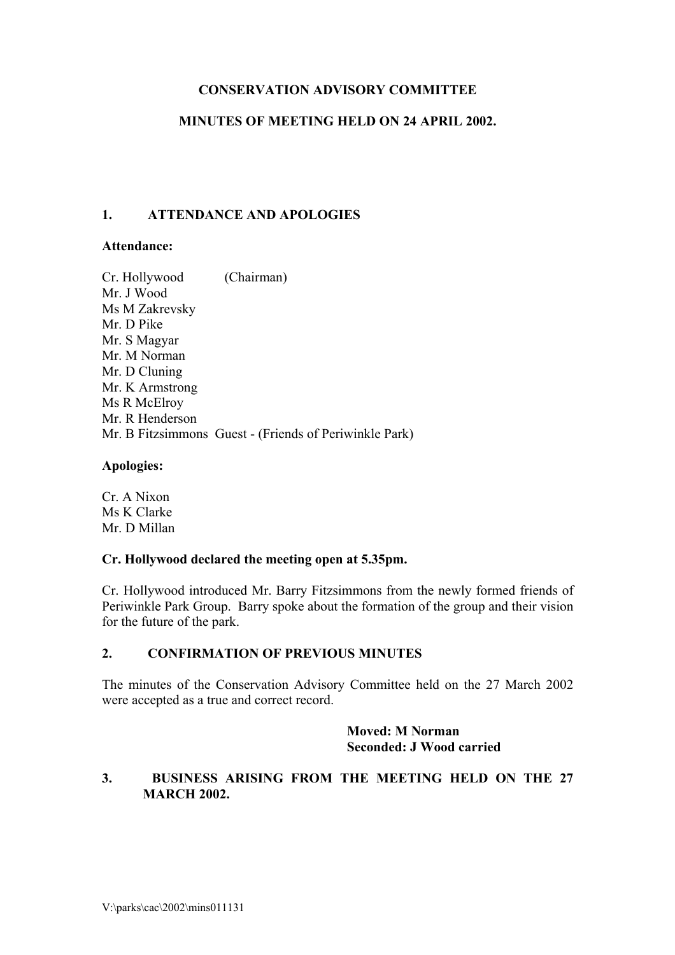# **CONSERVATION ADVISORY COMMITTEE**

## **MINUTES OF MEETING HELD ON 24 APRIL 2002.**

## **1. ATTENDANCE AND APOLOGIES**

### **Attendance:**

Cr. Hollywood (Chairman) Mr. J Wood Ms M Zakrevsky Mr. D Pike Mr. S Magyar Mr. M Norman Mr. D Cluning Mr. K Armstrong Ms R McElroy Mr. R Henderson Mr. B Fitzsimmons Guest - (Friends of Periwinkle Park)

### **Apologies:**

Cr. A Nixon Ms K Clarke Mr. D Millan

### **Cr. Hollywood declared the meeting open at 5.35pm.**

Cr. Hollywood introduced Mr. Barry Fitzsimmons from the newly formed friends of Periwinkle Park Group. Barry spoke about the formation of the group and their vision for the future of the park.

### **2. CONFIRMATION OF PREVIOUS MINUTES**

The minutes of the Conservation Advisory Committee held on the 27 March 2002 were accepted as a true and correct record.

> **Moved: M Norman Seconded: J Wood carried**

## **3. BUSINESS ARISING FROM THE MEETING HELD ON THE 27 MARCH 2002.**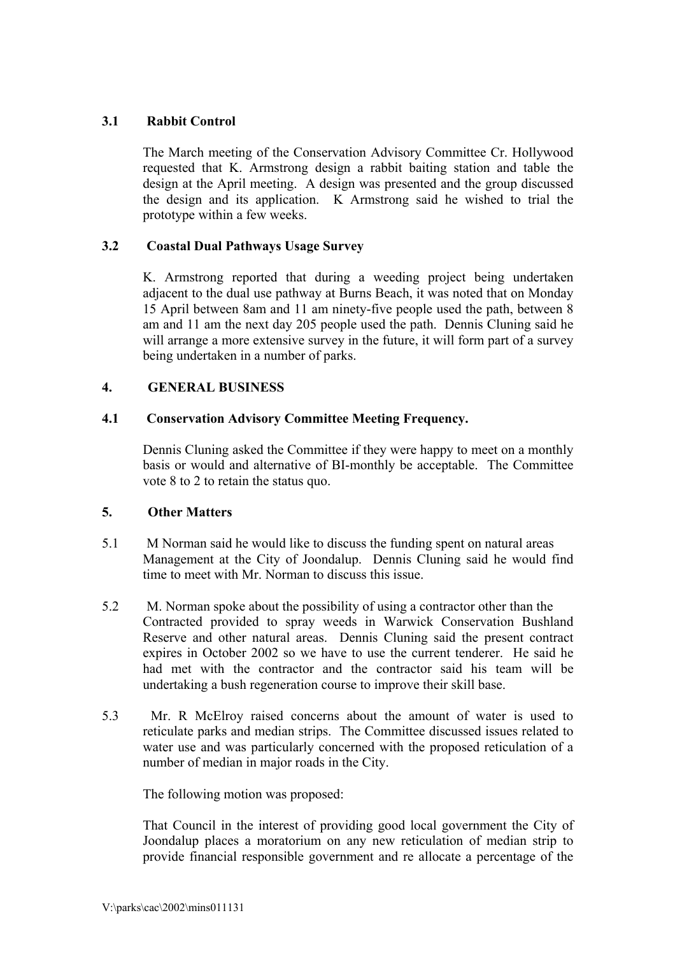# **3.1 Rabbit Control**

The March meeting of the Conservation Advisory Committee Cr. Hollywood requested that K. Armstrong design a rabbit baiting station and table the design at the April meeting. A design was presented and the group discussed the design and its application. K Armstrong said he wished to trial the prototype within a few weeks.

# **3.2 Coastal Dual Pathways Usage Survey**

K. Armstrong reported that during a weeding project being undertaken adjacent to the dual use pathway at Burns Beach, it was noted that on Monday 15 April between 8am and 11 am ninety-five people used the path, between 8 am and 11 am the next day 205 people used the path. Dennis Cluning said he will arrange a more extensive survey in the future, it will form part of a survey being undertaken in a number of parks.

## **4. GENERAL BUSINESS**

# **4.1 Conservation Advisory Committee Meeting Frequency.**

Dennis Cluning asked the Committee if they were happy to meet on a monthly basis or would and alternative of BI-monthly be acceptable. The Committee vote 8 to 2 to retain the status quo.

## **5. Other Matters**

- 5.1 M Norman said he would like to discuss the funding spent on natural areas Management at the City of Joondalup. Dennis Cluning said he would find time to meet with Mr. Norman to discuss this issue.
- 5.2 M. Norman spoke about the possibility of using a contractor other than the Contracted provided to spray weeds in Warwick Conservation Bushland Reserve and other natural areas. Dennis Cluning said the present contract expires in October 2002 so we have to use the current tenderer. He said he had met with the contractor and the contractor said his team will be undertaking a bush regeneration course to improve their skill base.
- 5.3 Mr. R McElroy raised concerns about the amount of water is used to reticulate parks and median strips. The Committee discussed issues related to water use and was particularly concerned with the proposed reticulation of a number of median in major roads in the City.

The following motion was proposed:

That Council in the interest of providing good local government the City of Joondalup places a moratorium on any new reticulation of median strip to provide financial responsible government and re allocate a percentage of the